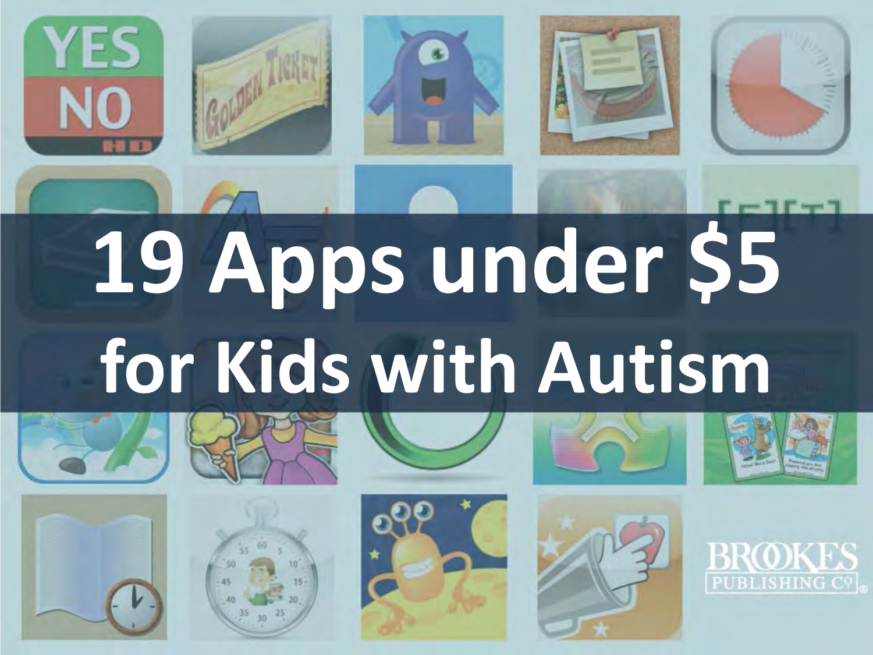













BROI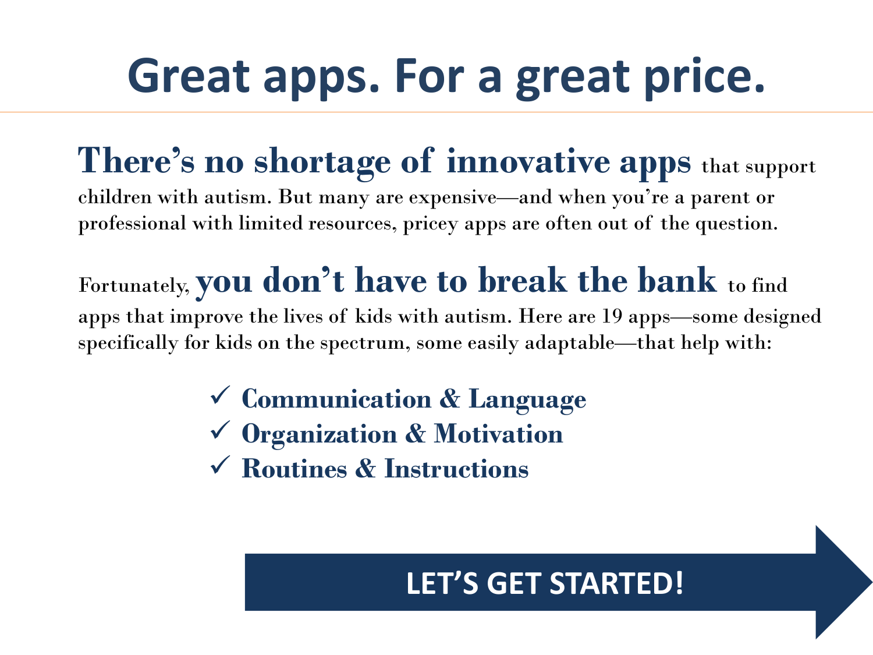# **Great apps. For a great price.**

# **There's no shortage of innovative apps** that support

children with autism. But many are expensive—and when you're a parent or professional with limited resources, pricey apps are often out of the question.

## Fortunately, **you don't have to break the bank** to find

apps that improve the lives of kids with autism. Here are 19 apps—some designed specifically for kids on the spectrum, some easily adaptable—that help with:

- **Communication & Language**
- **Organization & Motivation**
- **Routines & Instructions**

### **LET'S GET STARTED!**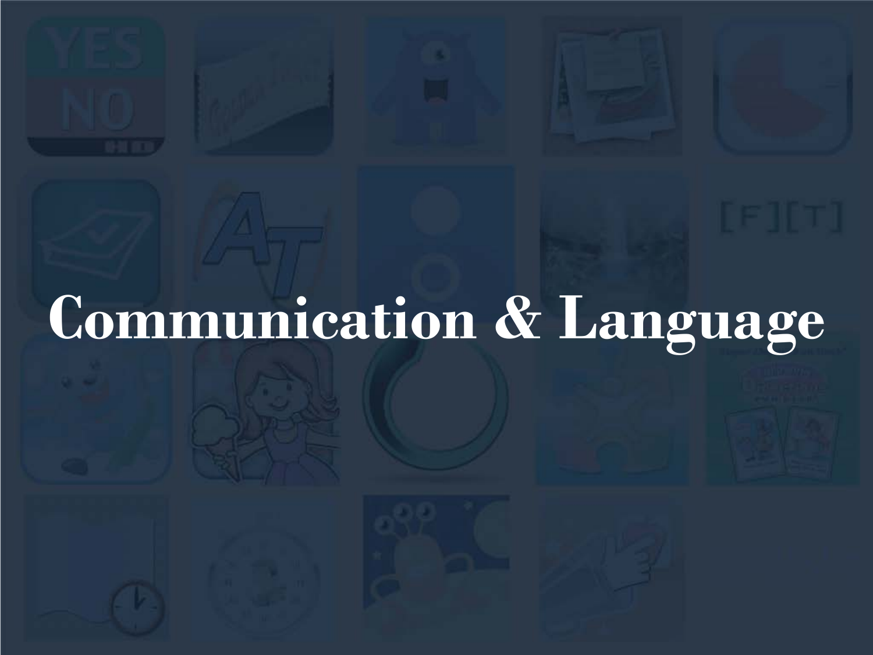# **Communication & Language**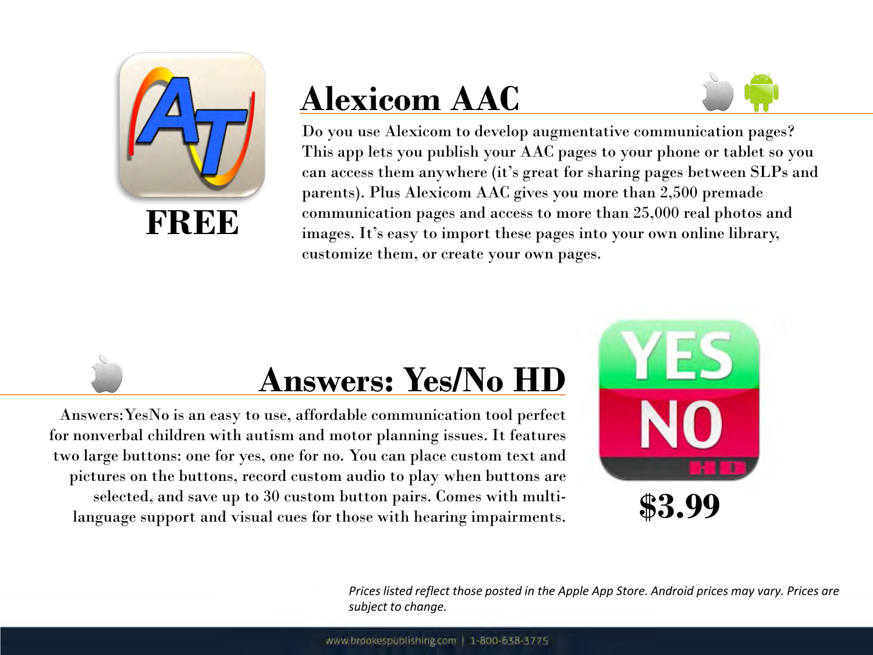

# **Alexicom AAC**



Do you use Alexicom to develop augmentative communication pages? This app lets you publish your AAC pages to your phone or tablet so you can access them anywhere (it's great for sharing pages between SLPs and parents). Plus Alexicom AAC gives you more than 2,500 premade communication pages and access to more than 25,000 real photos and images. It's easy to import these pages into your own online library, customize them, or create your own pages.

## **Answers: Yes/No HD**

Answers:YesNo is an easy to use, affordable communication tool perfect for nonverbal children with autism and motor planning issues. It features two large buttons: one for yes, one for no. You can place custom text and pictures on the buttons, record custom audio to play when buttons are selected, and save up to 30 custom button pairs. Comes with multilanguage support and visual cues for those with hearing impairments.



*Prices listed reflect those posted in the Apple App Store. Android prices may vary. Prices are subject to change.*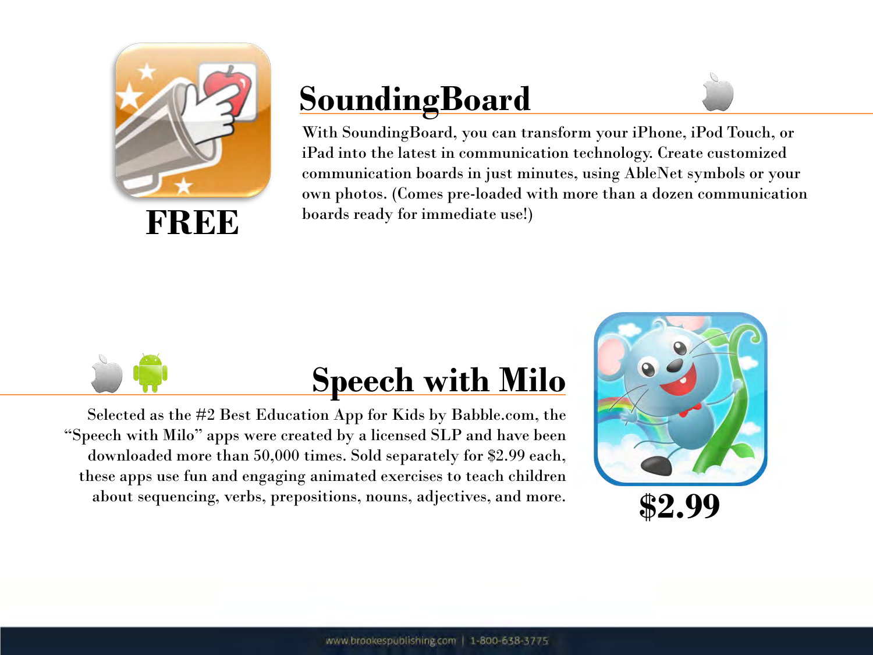

# **SoundingBoard**



With SoundingBoard, you can transform your iPhone, iPod Touch, or iPad into the latest in communication technology. Create customized communication boards in just minutes, using AbleNet symbols or your own photos. (Comes pre-loaded with more than a dozen communication boards ready for immediate use!)



## **Speech with Milo**

Selected as the #2 Best Education App for Kids by Babble.com, the "Speech with Milo" apps were created by a licensed SLP and have been downloaded more than 50,000 times. Sold separately for \$2.99 each, these apps use fun and engaging animated exercises to teach children about sequencing, verbs, prepositions, nouns, adjectives, and more.

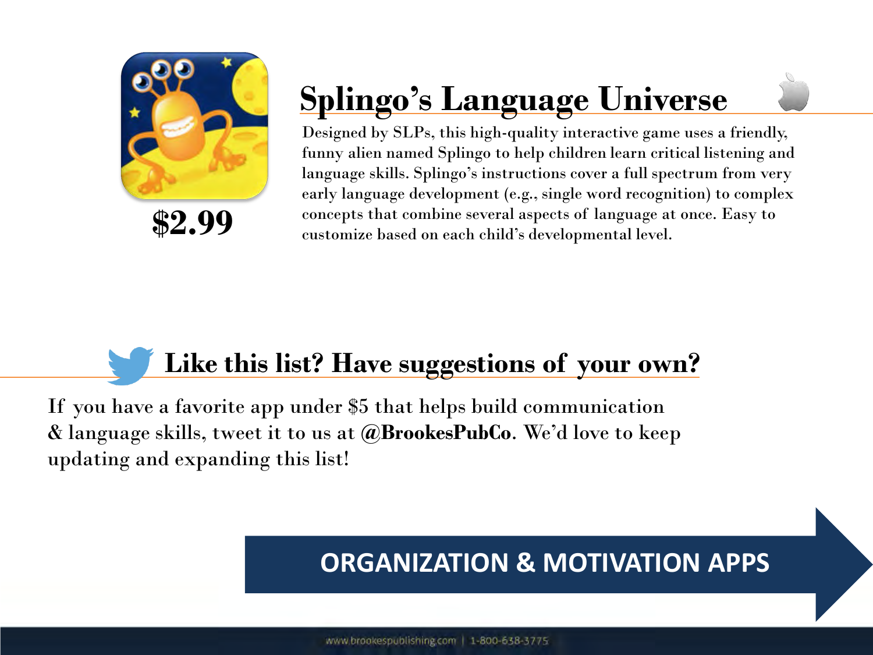

# **Splingo's Language Universe**

Designed by SLPs, this high-quality interactive game uses a friendly, funny alien named Splingo to help children learn critical listening and language skills. Splingo's instructions cover a full spectrum from very early language development (e.g., single word recognition) to complex concepts that combine several aspects of language at once. Easy to customize based on each child's developmental level.

## **Like this list? Have suggestions of your own?**

If you have a favorite app under \$5 that helps build communication & language skills, tweet it to us at **@BrookesPubCo**. We'd love to keep updating and expanding this list!

#### **ORGANIZATION & MOTIVATION APPS**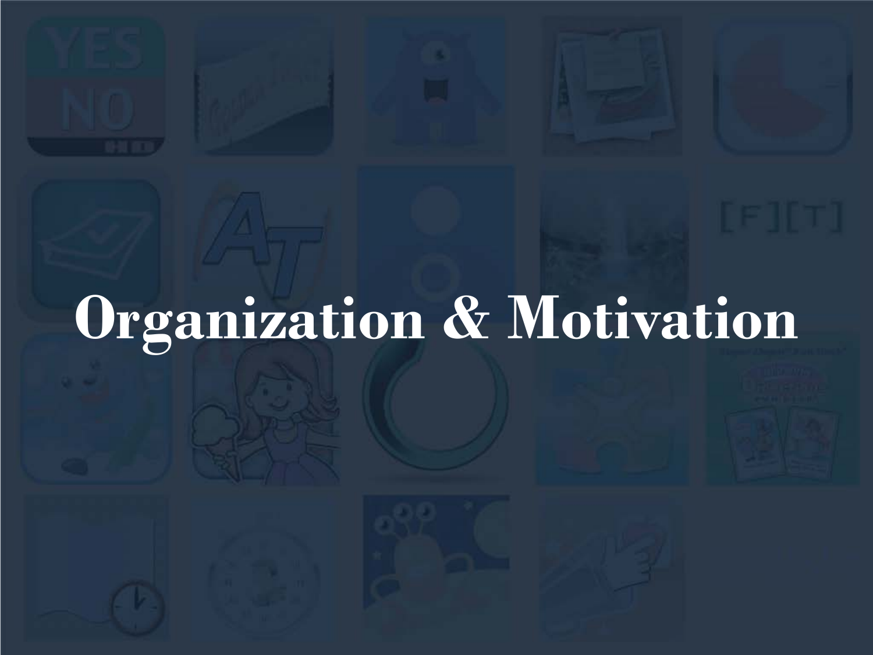# **Organization & Motivation**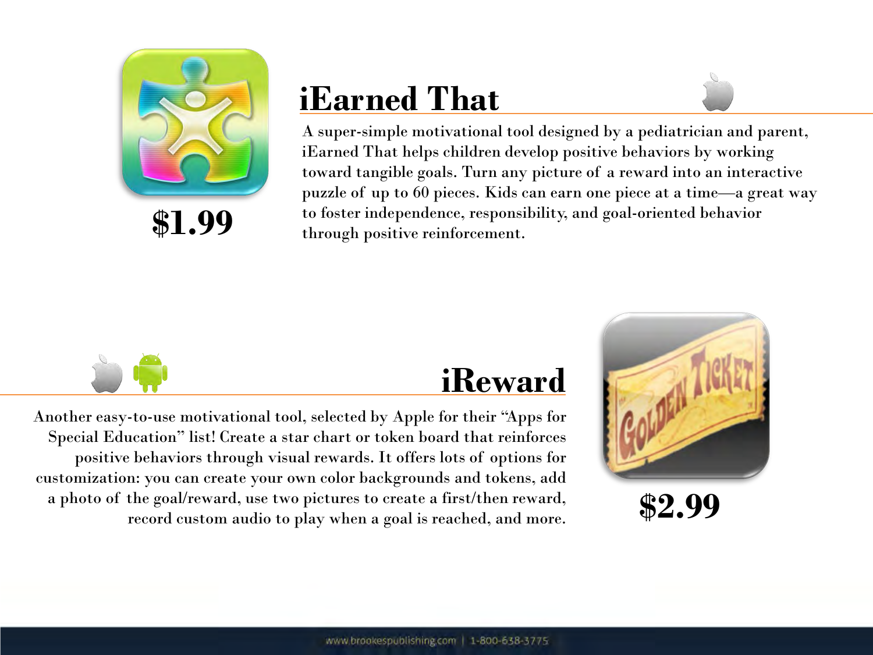

# **iEarned That**



A super-simple motivational tool designed by a pediatrician and parent, iEarned That helps children develop positive behaviors by working toward tangible goals. Turn any picture of a reward into an interactive puzzle of up to 60 pieces. Kids can earn one piece at a time—a great way to foster independence, responsibility, and goal-oriented behavior through positive reinforcement.



#### **iReward**

Another easy-to-use motivational tool, selected by Apple for their "Apps for Special Education" list! Create a star chart or token board that reinforces positive behaviors through visual rewards. It offers lots of options for customization: you can create your own color backgrounds and tokens, add a photo of the goal/reward, use two pictures to create a first/then reward, record custom audio to play when a goal is reached, and more.



**\$2.99**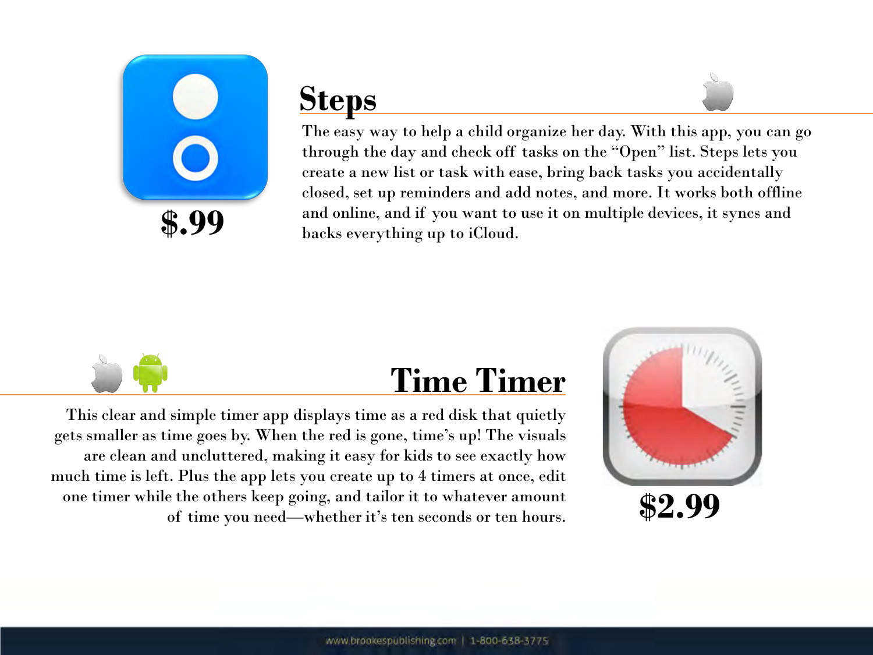

## **Steps**



The easy way to help a child organize her day. With this app, you can go through the day and check off tasks on the "Open" list. Steps lets you create a new list or task with ease, bring back tasks you accidentally closed, set up reminders and add notes, and more. It works both offline and online, and if you want to use it on multiple devices, it syncs and backs everything up to iCloud.



## **Time Timer**

This clear and simple timer app displays time as a red disk that quietly gets smaller as time goes by. When the red is gone, time's up! The visuals are clean and uncluttered, making it easy for kids to see exactly how much time is left. Plus the app lets you create up to 4 timers at once, edit one timer while the others keep going, and tailor it to whatever amount of time you need—whether it's ten seconds or ten hours.

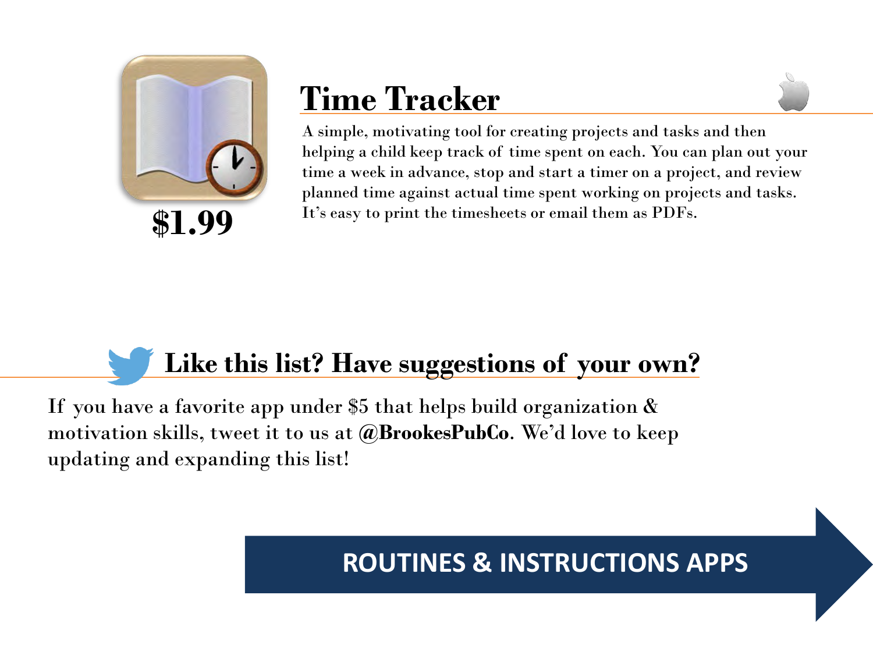

## **Time Tracker**

A simple, motivating tool for creating projects and tasks and then helping a child keep track of time spent on each. You can plan out your time a week in advance, stop and start a timer on a project, and review planned time against actual time spent working on projects and tasks. It's easy to print the timesheets or email them as PDFs.

## **Like this list? Have suggestions of your own?**

If you have a favorite app under \$5 that helps build organization  $\&$ motivation skills, tweet it to us at **@BrookesPubCo**. We'd love to keep updating and expanding this list!

#### **ROUTINES & INSTRUCTIONS APPS**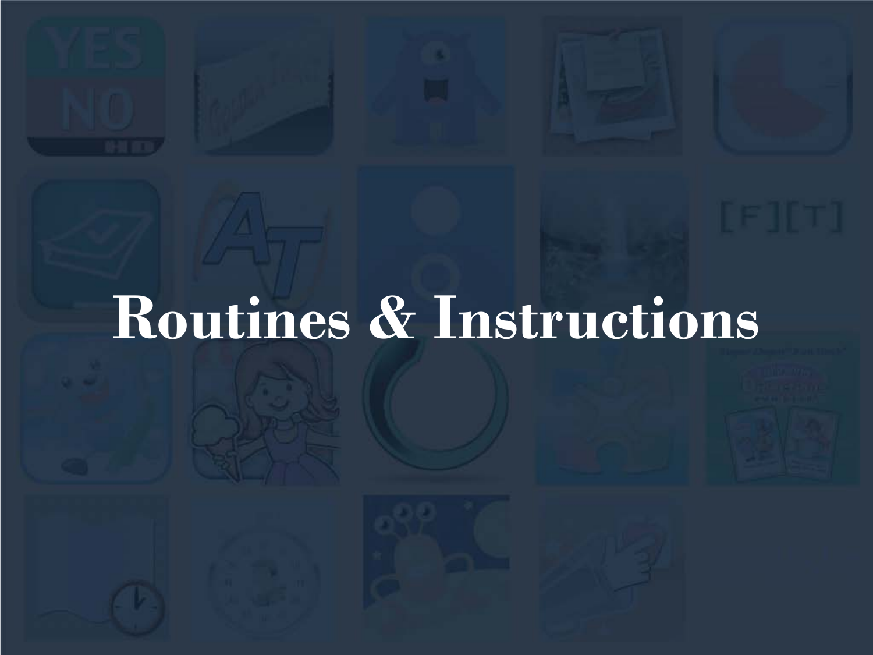# **Routines & Instructions**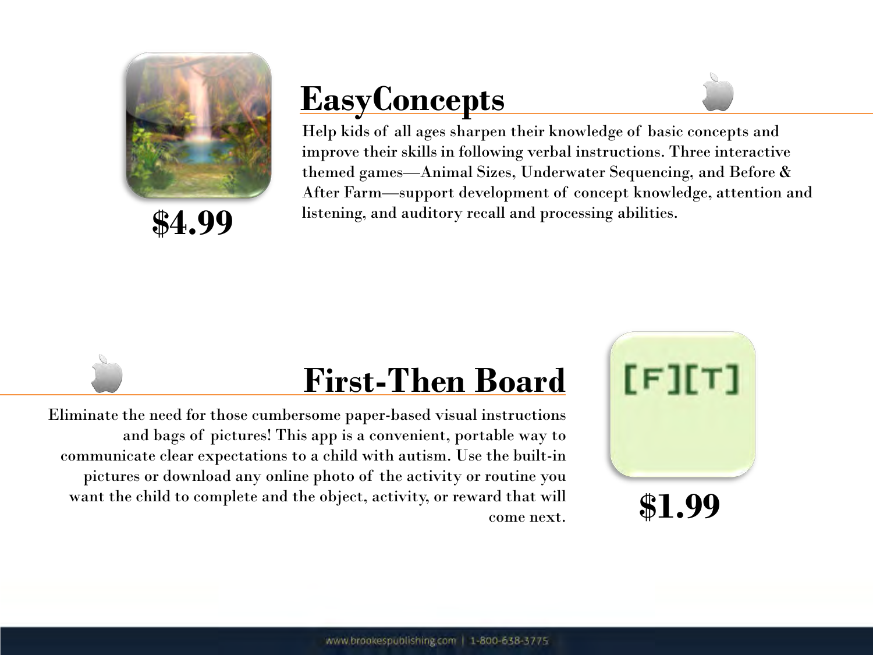

**\$4.99**

# **EasyConcepts**



## **First-Then Board**

Eliminate the need for those cumbersome paper-based visual instructions and bags of pictures! This app is a convenient, portable way to communicate clear expectations to a child with autism. Use the built-in pictures or download any online photo of the activity or routine you want the child to complete and the object, activity, or reward that will come next.

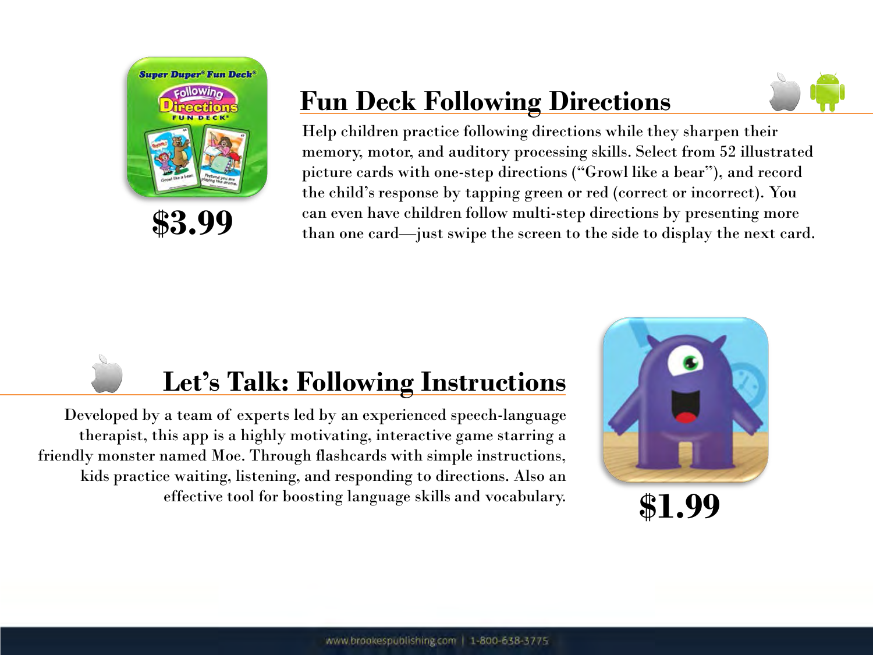

### **Fun Deck Following Directions**



Help children practice following directions while they sharpen their memory, motor, and auditory processing skills. Select from 52 illustrated picture cards with one-step directions ("Growl like a bear"), and record the child's response by tapping green or red (correct or incorrect). You can even have children follow multi-step directions by presenting more than one card—just swipe the screen to the side to display the next card.

## **Let's Talk: Following Instructions**

Developed by a team of experts led by an experienced speech-language therapist, this app is a highly motivating, interactive game starring a friendly monster named Moe. Through flashcards with simple instructions, kids practice waiting, listening, and responding to directions. Also an effective tool for boosting language skills and vocabulary.

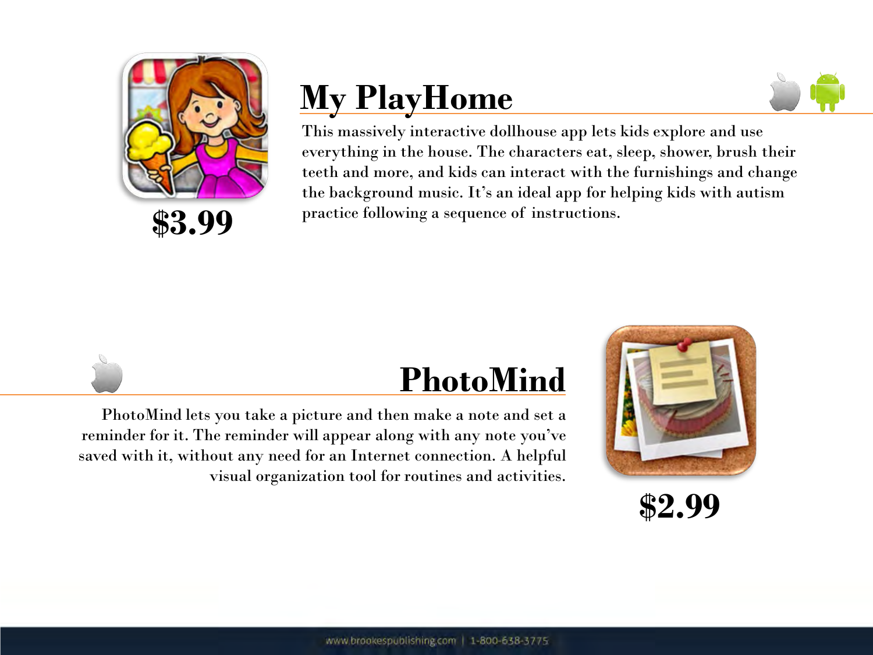

# **My PlayHome**



This massively interactive dollhouse app lets kids explore and use everything in the house. The characters eat, sleep, shower, brush their teeth and more, and kids can interact with the furnishings and change the background music. It's an ideal app for helping kids with autism practice following a sequence of instructions.

## **PhotoMind**

PhotoMind lets you take a picture and then make a note and set a reminder for it. The reminder will appear along with any note you've saved with it, without any need for an Internet connection. A helpful visual organization tool for routines and activities.



**\$2.99**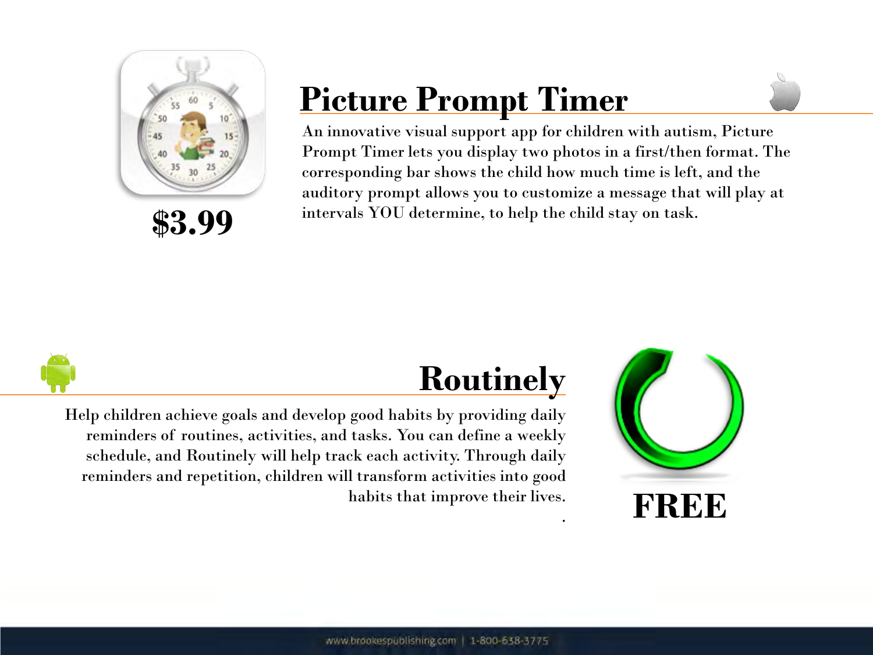

**\$3.99**

# **Picture Prompt Timer**

An innovative visual support app for children with autism, Picture Prompt Timer lets you display two photos in a first/then format. The corresponding bar shows the child how much time is left, and the auditory prompt allows you to customize a message that will play at intervals YOU determine, to help the child stay on task.

.



## **Routinely**

Help children achieve goals and develop good habits by providing daily reminders of routines, activities, and tasks. You can define a weekly schedule, and Routinely will help track each activity. Through daily reminders and repetition, children will transform activities into good habits that improve their lives.

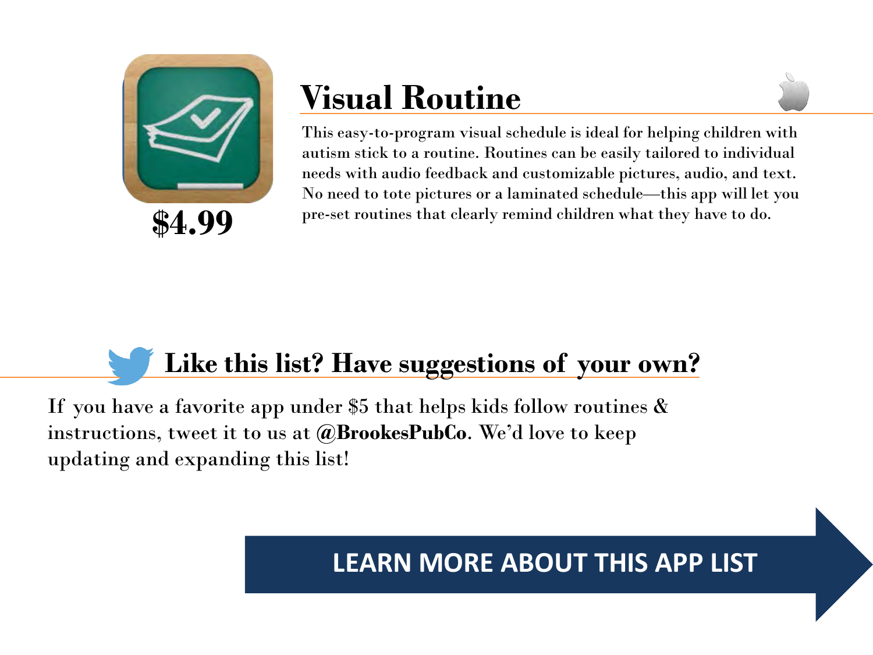

# **Visual Routine**



This easy-to-program visual schedule is ideal for helping children with autism stick to a routine. Routines can be easily tailored to individual needs with audio feedback and customizable pictures, audio, and text. No need to tote pictures or a laminated schedule—this app will let you pre-set routines that clearly remind children what they have to do.

## **Like this list? Have suggestions of your own?**

If you have a favorite app under \$5 that helps kids follow routines  $\&$ instructions, tweet it to us at **@BrookesPubCo**. We'd love to keep updating and expanding this list!

#### **LEARN MORE ABOUT THIS APP LIST**